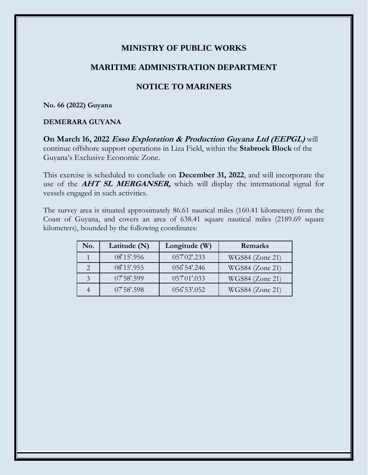## **MINISTRY OF PUBLIC WORKS**

## **MARITIME ADMINISTRATION DEPARTMENT**

# **NOTICE TO MARINERS**

**No. 66 (2022) Guyana**

#### **DEMERARA GUYANA**

**On March 16, 2022 Esso Exploration & Production Guyana Ltd (EEPGL)** will continue offshore support operations in Liza Field, within the **Stabroek Block** of the Guyana's Exclusive Economic Zone.

This exercise is scheduled to conclude on **December 31, 2022**, and will incorporate the use of the **AHT SL MERGANSER,** which will display the international signal for vessels engaged in such activities.

The survey area is situated approximately 86.61 nautical miles (160.41 kilometers) from the Coast of Guyana, and covers an area of 638.41 square nautical miles (2189.69 square kilometers), bounded by the following coordinates:

| No. | Latitude (N) | Longitude (W) | Remarks         |
|-----|--------------|---------------|-----------------|
|     | 08 15'.956   | 057 02'.233   | WGS84 (Zone 21) |
|     | 08 15'.955   | 056 54'.246   | WGS84 (Zone 21) |
| 3   | 0758'.599    | 057 01'.033   | WGS84 (Zone 21) |
|     | $0758'$ .598 | 056 53'.052   | WGS84 (Zone 21) |